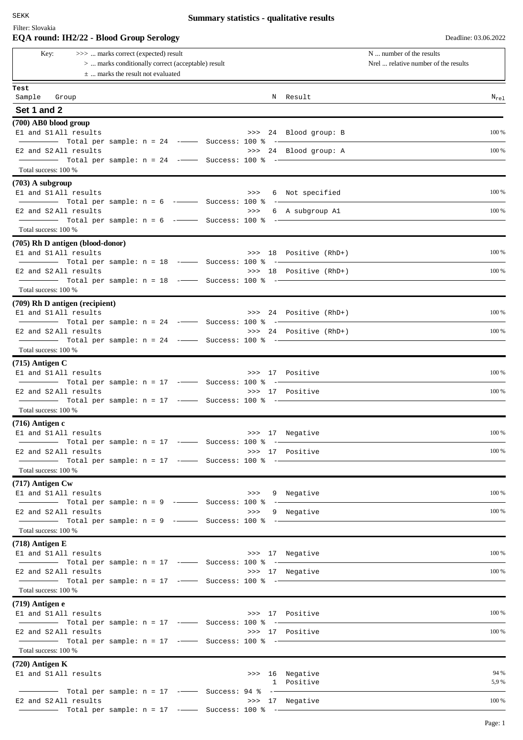Filter: Slovakia

# **Summary statistics - qualitative results**

|                                             | EQA round: IH2/22 - Blood Group Serology                                                                                             |  |                        | Deadline: 03.06.2022                                             |
|---------------------------------------------|--------------------------------------------------------------------------------------------------------------------------------------|--|------------------------|------------------------------------------------------------------|
| Key:                                        | >>>  marks correct (expected) result<br>>  marks conditionally correct (acceptable) result<br>$\pm$ marks the result not evaluated   |  |                        | N  number of the results<br>Nrel  relative number of the results |
| Test                                        |                                                                                                                                      |  |                        |                                                                  |
| Sample Group                                |                                                                                                                                      |  | N Result               | $N_{rel}$                                                        |
| Set 1 and 2                                 |                                                                                                                                      |  |                        |                                                                  |
| $(700)$ AB0 blood group                     |                                                                                                                                      |  |                        |                                                                  |
| El and S1 All results                       | Total per sample: $n = 24$ - Success: 100 % -                                                                                        |  | >>> 24 Blood group: B  | 100 %                                                            |
| E2 and S2 All results                       |                                                                                                                                      |  | >>> 24 Blood group: A  | 100 %                                                            |
|                                             |                                                                                                                                      |  |                        |                                                                  |
| Total success: 100 %                        |                                                                                                                                      |  |                        |                                                                  |
| $(703)$ A subgroup<br>E1 and S1 All results |                                                                                                                                      |  | >>> 6 Not specified    | 100 %                                                            |
|                                             | Total per sample: n = 6 -- Success: 100 % --                                                                                         |  |                        |                                                                  |
| E2 and S2 All results                       |                                                                                                                                      |  | >>> 6 A subgroup A1    | 100 %                                                            |
| Total success: 100 %                        |                                                                                                                                      |  |                        |                                                                  |
|                                             | (705) Rh D antigen (blood-donor)                                                                                                     |  |                        |                                                                  |
| El and S1 All results                       |                                                                                                                                      |  | >>> 18 Positive (RhD+) | 100 %                                                            |
|                                             |                                                                                                                                      |  |                        |                                                                  |
| E2 and S2 All results                       | Total per sample: n = 18 -- Success: 100 % --                                                                                        |  | >>> 18 Positive (RhD+) | 100 %                                                            |
| Total success: 100 %                        |                                                                                                                                      |  |                        |                                                                  |
| (709) Rh D antigen (recipient)              |                                                                                                                                      |  |                        |                                                                  |
| El and S1 All results                       |                                                                                                                                      |  | >>> 24 Positive (RhD+) | 100 %                                                            |
| E2 and S2 All results                       |                                                                                                                                      |  | >>> 24 Positive (RhD+) | 100 %                                                            |
|                                             |                                                                                                                                      |  |                        |                                                                  |
| Total success: 100 %                        |                                                                                                                                      |  |                        |                                                                  |
| $(715)$ Antigen C                           |                                                                                                                                      |  |                        |                                                                  |
| El and S1 All results                       | $\frac{1}{1}$ Total per sample: n = 17 - Success: 100 % -                                                                            |  | >>> 17 Positive        | 100 %                                                            |
| E2 and S2 All results                       |                                                                                                                                      |  | >>> 17 Positive        | 100 %                                                            |
| Total success: 100 %                        |                                                                                                                                      |  |                        |                                                                  |
| (716) Antigen c                             |                                                                                                                                      |  |                        |                                                                  |
| El and S1 All results                       |                                                                                                                                      |  | >>> 17 Negative        | 100 %                                                            |
|                                             |                                                                                                                                      |  |                        |                                                                  |
| E2 and S2 All results                       |                                                                                                                                      |  | >>> 17 Positive        | 100 %                                                            |
| Total success: 100 %                        |                                                                                                                                      |  |                        |                                                                  |
| (717) Antigen Cw                            |                                                                                                                                      |  |                        |                                                                  |
| E1 and S1 All results                       |                                                                                                                                      |  | >>> 9 Negative         | 100 %                                                            |
| E2 and S2 All results                       |                                                                                                                                      |  | >>> 9 Negative         | 100 %                                                            |
|                                             |                                                                                                                                      |  |                        |                                                                  |
| Total success: 100 %                        |                                                                                                                                      |  |                        |                                                                  |
| $(718)$ Antigen E                           |                                                                                                                                      |  |                        |                                                                  |
| El and S1 All results                       |                                                                                                                                      |  | >>> 17 Negative        | 100 %                                                            |
| E2 and S2 All results                       |                                                                                                                                      |  | >>> 17 Negative        | 100 %                                                            |
|                                             | $\begin{array}{ccccccccc}\n- & - & \text{Total per sample:} & n = 17 & - & \text{Success: } 100 & * & - & \text{---} \\ \end{array}$ |  |                        |                                                                  |
| Total success: 100 %                        |                                                                                                                                      |  |                        |                                                                  |
| $(719)$ Antigen e<br>El and S1 All results  |                                                                                                                                      |  | >>> 17 Positive        | 100 %                                                            |
|                                             |                                                                                                                                      |  |                        |                                                                  |
| E2 and S2 All results                       | $\frac{1}{1}$ Total per sample: n = 17 - Success: 100 % -                                                                            |  | >>> 17 Positive        | 100 %                                                            |
| Total success: 100 %                        |                                                                                                                                      |  |                        |                                                                  |
| $(720)$ Antigen K                           |                                                                                                                                      |  |                        |                                                                  |
| El and S1 All results                       |                                                                                                                                      |  | >>> 16 Negative        | 94 %                                                             |
|                                             |                                                                                                                                      |  | 1 Positive             | 5,9 %                                                            |
| E2 and S2 All results                       |                                                                                                                                      |  | >>> 17 Negative        | 100 %                                                            |
|                                             |                                                                                                                                      |  |                        |                                                                  |

Page: 1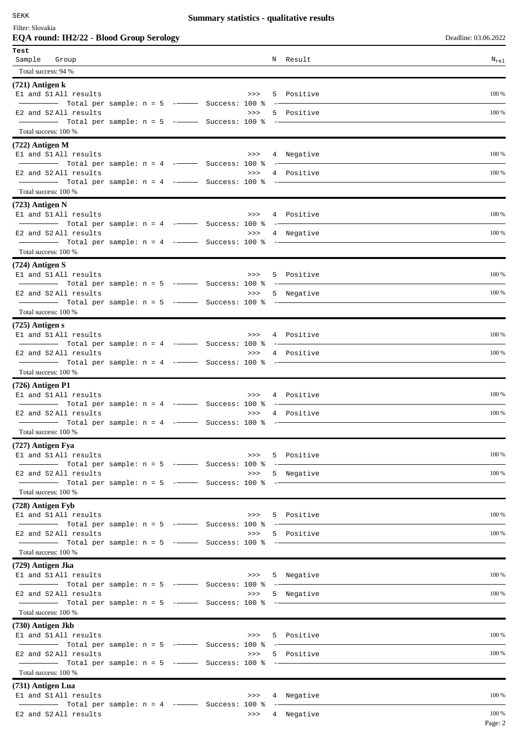SEKK

# **Summary statistics - qualitative results**

| Filter: Slovakia                   |  |
|------------------------------------|--|
| EQA round: IH2/22 - Blood Group Se |  |

**Example 193.06.2022 Deadline: 03.06.2022** 

| Test                 |                                                                                                                                                                                                                                                                                                                                                                                                                                                                                                                |               |                |           |
|----------------------|----------------------------------------------------------------------------------------------------------------------------------------------------------------------------------------------------------------------------------------------------------------------------------------------------------------------------------------------------------------------------------------------------------------------------------------------------------------------------------------------------------------|---------------|----------------|-----------|
| Sample Group         |                                                                                                                                                                                                                                                                                                                                                                                                                                                                                                                |               | N Result       | $N_{re1}$ |
| Total success: 94 %  |                                                                                                                                                                                                                                                                                                                                                                                                                                                                                                                |               |                |           |
| $(721)$ Antigen k    |                                                                                                                                                                                                                                                                                                                                                                                                                                                                                                                |               |                |           |
|                      | El and S1 All results<br>>>><br>$\blacksquare$ Total per sample: $n = 5$ $\blacksquare$ Success: 100 %                                                                                                                                                                                                                                                                                                                                                                                                         |               | 5 Positive     | 100 %     |
|                      | E2 and S2 All results<br>>>                                                                                                                                                                                                                                                                                                                                                                                                                                                                                    |               | 5 Positive     | 100 %     |
|                      |                                                                                                                                                                                                                                                                                                                                                                                                                                                                                                                |               |                |           |
| Total success: 100 % |                                                                                                                                                                                                                                                                                                                                                                                                                                                                                                                |               |                |           |
| $(722)$ Antigen M    |                                                                                                                                                                                                                                                                                                                                                                                                                                                                                                                |               |                |           |
|                      | E1 and S1 All results<br>>>>                                                                                                                                                                                                                                                                                                                                                                                                                                                                                   |               | 4 Negative     | 100 %     |
|                      | $\blacksquare$ Total per sample: $n = 4$ - $\blacksquare$ Success: 100 %<br>E2 and S2 All results<br>>>>                                                                                                                                                                                                                                                                                                                                                                                                       |               | 4 Positive     | 100 %     |
|                      |                                                                                                                                                                                                                                                                                                                                                                                                                                                                                                                | $ -$          |                |           |
| Total success: 100 % |                                                                                                                                                                                                                                                                                                                                                                                                                                                                                                                |               |                |           |
| $(723)$ Antigen N    |                                                                                                                                                                                                                                                                                                                                                                                                                                                                                                                |               |                |           |
|                      | El and S1 All results<br>>>>                                                                                                                                                                                                                                                                                                                                                                                                                                                                                   |               | 4 Positive     | 100 %     |
|                      | Total per sample: $n = 4$ ---- Success: 100 % -<br>E2 and S2 All results<br>>>>                                                                                                                                                                                                                                                                                                                                                                                                                                |               | 4 Negative     | 100 %     |
|                      |                                                                                                                                                                                                                                                                                                                                                                                                                                                                                                                |               |                |           |
| Total success: 100 % |                                                                                                                                                                                                                                                                                                                                                                                                                                                                                                                |               |                |           |
| $(724)$ Antigen S    |                                                                                                                                                                                                                                                                                                                                                                                                                                                                                                                |               |                |           |
|                      | El and S1All results                                                                                                                                                                                                                                                                                                                                                                                                                                                                                           |               | >>> 5 Positive | 100 %     |
|                      | E2 and S2 All results<br>>>                                                                                                                                                                                                                                                                                                                                                                                                                                                                                    |               | 5 Negative     | 100 %     |
|                      |                                                                                                                                                                                                                                                                                                                                                                                                                                                                                                                |               |                |           |
| Total success: 100 % |                                                                                                                                                                                                                                                                                                                                                                                                                                                                                                                |               |                |           |
| $(725)$ Antigen s    |                                                                                                                                                                                                                                                                                                                                                                                                                                                                                                                |               |                |           |
|                      | El and S1 All results<br>>>>                                                                                                                                                                                                                                                                                                                                                                                                                                                                                   |               | 4 Positive     | 100 %     |
|                      | E2 and S2 All results<br>>>                                                                                                                                                                                                                                                                                                                                                                                                                                                                                    |               | 4 Positive     | 100 %     |
|                      | Total per sample: n = 4 --- Success: 100 %                                                                                                                                                                                                                                                                                                                                                                                                                                                                     |               |                |           |
| Total success: 100 % |                                                                                                                                                                                                                                                                                                                                                                                                                                                                                                                |               |                |           |
| $(726)$ Antigen P1   |                                                                                                                                                                                                                                                                                                                                                                                                                                                                                                                |               |                |           |
|                      | El and S1 All results<br>>>>                                                                                                                                                                                                                                                                                                                                                                                                                                                                                   |               | 4 Positive     | 100 %     |
|                      | $\overline{\phantom{a}}$ $\overline{\phantom{a}}$ $\overline{\phantom{a}}$ $\overline{\phantom{a}}$ $\overline{\phantom{a}}$ $\overline{\phantom{a}}$ $\overline{\phantom{a}}$ $\overline{\phantom{a}}$ $\overline{\phantom{a}}$ $\overline{\phantom{a}}$ $\overline{\phantom{a}}$ $\overline{\phantom{a}}$ $\overline{\phantom{a}}$ $\overline{\phantom{a}}$ $\overline{\phantom{a}}$ $\overline{\phantom{a}}$ $\overline{\phantom{a}}$ $\overline{\phantom{a}}$ $\overline{\$<br>E2 and S2 All results<br>>> |               | 4 Positive     | 100 %     |
|                      | $\overline{\hspace{2cm}}$ Total per sample: n = 4 - $\overline{\hspace{2cm}}$ Success: 100 %                                                                                                                                                                                                                                                                                                                                                                                                                   | $\sim$ $\sim$ |                |           |
| Total success: 100 % |                                                                                                                                                                                                                                                                                                                                                                                                                                                                                                                |               |                |           |
| (727) Antigen Fya    |                                                                                                                                                                                                                                                                                                                                                                                                                                                                                                                |               |                |           |
|                      | E1 and S1 All results<br>>>                                                                                                                                                                                                                                                                                                                                                                                                                                                                                    |               | 5 Positive     | 100 %     |
|                      | $\blacksquare$ Total per sample: $n = 5$ - $\blacksquare$ Success: 100 %<br>E2 and S2 All results<br>>>                                                                                                                                                                                                                                                                                                                                                                                                        |               | 5 Negative     | 100 %     |
|                      | $\frac{1}{1}$ Total per sample: n = 5 - $\frac{1}{100}$ Success: 100 % - $\frac{1}{100}$                                                                                                                                                                                                                                                                                                                                                                                                                       |               |                |           |
| Total success: 100 % |                                                                                                                                                                                                                                                                                                                                                                                                                                                                                                                |               |                |           |
| (728) Antigen Fyb    |                                                                                                                                                                                                                                                                                                                                                                                                                                                                                                                |               |                |           |
|                      | El and S1 All results                                                                                                                                                                                                                                                                                                                                                                                                                                                                                          |               | >>> 5 Positive | 100 %     |
|                      | $\frac{1}{1}$ Total per sample: n = 5 - $\frac{1}{100}$ Success: 100 % - $\frac{1}{100}$<br>E2 and S2 All results<br>>>>                                                                                                                                                                                                                                                                                                                                                                                       |               | 5 Positive     | 100 %     |
|                      | $\frac{1}{2}$ Total per sample: n = 5 - $\frac{1}{2}$ Success: 100 % - $\frac{1}{2}$                                                                                                                                                                                                                                                                                                                                                                                                                           |               |                |           |
| Total success: 100 % |                                                                                                                                                                                                                                                                                                                                                                                                                                                                                                                |               |                |           |
| (729) Antigen Jka    |                                                                                                                                                                                                                                                                                                                                                                                                                                                                                                                |               |                |           |
|                      | E1 and S1 All results                                                                                                                                                                                                                                                                                                                                                                                                                                                                                          |               | >>> 5 Negative | 100 %     |
|                      | E2 and S2 All results<br>>>>                                                                                                                                                                                                                                                                                                                                                                                                                                                                                   |               | 5 Negative     | 100 %     |
|                      | $\overline{\hspace{2.5cm}}$ $\overline{\hspace{2.5cm}}$ $\hspace{2.5cm}$ $\hspace{2.5cm}$ $\hspace{2.5cm}$ $\hspace{2.5cm}$ $\hspace{2.5cm}$ $\hspace{2.5cm}$ $\hspace{2.5cm}$ $\hspace{2.5cm}$ $\hspace{2.5cm}$ $\hspace{2.5cm}$ $\hspace{2.5cm}$ $\hspace{2.5cm}$ $\hspace{2.5cm}$ $\hspace{2.5cm}$ $\hspace{2.5cm}$ $\hspace{2.5cm}$                                                                                                                                                                        |               |                |           |
| Total success: 100 % |                                                                                                                                                                                                                                                                                                                                                                                                                                                                                                                |               |                |           |
| (730) Antigen Jkb    |                                                                                                                                                                                                                                                                                                                                                                                                                                                                                                                |               |                |           |
|                      | El and S1 All results<br>>>                                                                                                                                                                                                                                                                                                                                                                                                                                                                                    |               | 5 Positive     | 100 %     |
|                      | E2 and S2 All results<br>>>                                                                                                                                                                                                                                                                                                                                                                                                                                                                                    |               | 5 Positive     | 100 %     |
|                      | Total per sample: n = 5 --- Success: 100 %                                                                                                                                                                                                                                                                                                                                                                                                                                                                     |               |                |           |
| Total success: 100 % |                                                                                                                                                                                                                                                                                                                                                                                                                                                                                                                |               |                |           |
| (731) Antigen Lua    |                                                                                                                                                                                                                                                                                                                                                                                                                                                                                                                |               |                |           |
|                      | El and S1 All results                                                                                                                                                                                                                                                                                                                                                                                                                                                                                          |               | >>> 4 Negative | 100 %     |
|                      | E2 and S2 All results                                                                                                                                                                                                                                                                                                                                                                                                                                                                                          |               | >>> 4 Negative | 100 %     |
|                      |                                                                                                                                                                                                                                                                                                                                                                                                                                                                                                                |               |                | Page: 2   |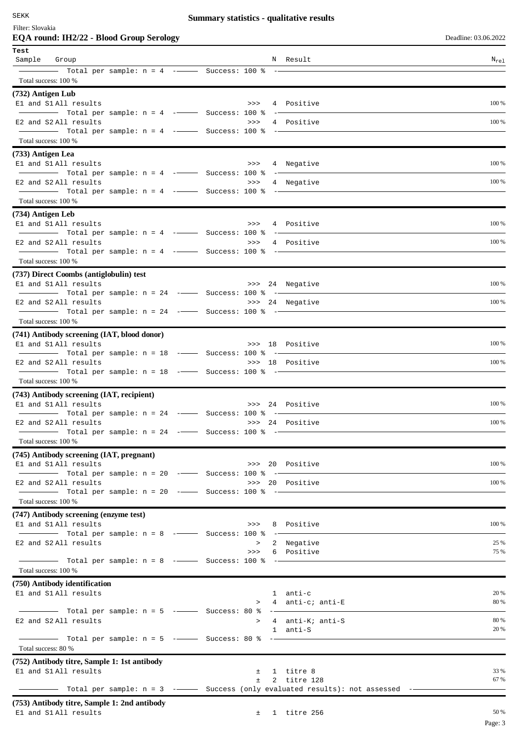| SEKK                                                                                                          | <b>Summary statistics - qualitative results</b> |                 |                      |
|---------------------------------------------------------------------------------------------------------------|-------------------------------------------------|-----------------|----------------------|
| Filter: Slovakia                                                                                              |                                                 |                 |                      |
| EQA round: IH2/22 - Blood Group Serology                                                                      |                                                 |                 | Deadline: 03.06.2022 |
| Test                                                                                                          |                                                 |                 |                      |
| Sample Group                                                                                                  |                                                 | N Result        | $N_{re1}$            |
|                                                                                                               |                                                 |                 |                      |
| Total success: 100 %                                                                                          |                                                 |                 |                      |
| (732) Antigen Lub                                                                                             |                                                 |                 |                      |
| E1 and S1 All results                                                                                         | >>>                                             | 4 Positive      | 100 %                |
| E2 and S2 All results                                                                                         | >>>                                             | 4 Positive      | 100 %                |
| Total per sample: $n = 4$ ---------- Success: 100 % ---                                                       |                                                 |                 |                      |
| Total success: 100 %                                                                                          |                                                 |                 |                      |
| (733) Antigen Lea                                                                                             |                                                 |                 |                      |
| El and S1 All results                                                                                         | >>>                                             | 4 Negative      | 100 %                |
| Total per sample: n = 4 --------- Success: 100 % ------                                                       |                                                 |                 |                      |
| E2 and S2 All results                                                                                         | >>                                              | 4 Negative      | 100 %                |
|                                                                                                               |                                                 |                 |                      |
| Total success: 100 %                                                                                          |                                                 |                 |                      |
| (734) Antigen Leb                                                                                             |                                                 |                 |                      |
| E1 and S1 All results                                                                                         |                                                 | >>> 4 Positive  | 100 %                |
|                                                                                                               |                                                 |                 | 100 %                |
| E2 and S2 All results<br>$\frac{1}{1}$ Total per sample: n = 4 - $\frac{1}{1}$ Success: 100 % - $\frac{1}{1}$ |                                                 | >>> 4 Positive  |                      |
| Total success: 100 %                                                                                          |                                                 |                 |                      |
| (737) Direct Coombs (antiglobulin) test                                                                       |                                                 |                 |                      |
| E1 and S1 All results                                                                                         |                                                 | >>> 24 Negative | 100 %                |
| $\frac{1}{1}$ Total per sample: n = 24 -- Success: 100 % -                                                    |                                                 |                 |                      |
| E2 and S2 All results                                                                                         |                                                 | >>> 24 Negative | 100 %                |
| Total per sample: n = 24 -- Success: 100 % --                                                                 |                                                 |                 |                      |
| Total success: 100 %                                                                                          |                                                 |                 |                      |
| (741) Antibody screening (IAT, blood donor)                                                                   |                                                 |                 |                      |
| E1 and S1 All results                                                                                         |                                                 | >>> 18 Positive | 100 %                |
| $\frac{1}{2}$ Total per sample: n = 18 - Success: 100 % -<br>E2 and S2 All results                            |                                                 | >>> 18 Positive | 100 %                |
| Total per sample: n = 18 -- Success: 100 % --                                                                 |                                                 |                 |                      |
| Total success: 100 %                                                                                          |                                                 |                 |                      |
| (743) Antibody screening (IAT, recipient)                                                                     |                                                 |                 |                      |
| El and S1 All results                                                                                         |                                                 | >>> 24 Positive | 100 %                |
| Total per sample: $n = 24$ --- Success: 100 % --                                                              |                                                 |                 |                      |
| E2 and S2 All results                                                                                         |                                                 | >>> 24 Positive | 100 %                |
| Total per sample: n = 24 -- Success: 100 % --                                                                 |                                                 |                 |                      |
| Total success: 100 %                                                                                          |                                                 |                 |                      |
| (745) Antibody screening (IAT, pregnant)                                                                      |                                                 |                 |                      |
| El and S1 All results                                                                                         |                                                 | >>> 20 Positive | 100 %                |
| Total per sample: $n = 20$ --- Success: 100 % -<br>E2 and S2 All results                                      |                                                 | >>> 20 Positive | 100 %                |
| Total per sample: $n = 20$ ---- Success: 100 % --                                                             |                                                 |                 |                      |
| Total success: 100 %                                                                                          |                                                 |                 |                      |
|                                                                                                               |                                                 |                 |                      |

# **(747) Antibody screening (enzyme test)**

| E1 and S1 All results                        |  | >>> 8 Positive | $100\%$ |
|----------------------------------------------|--|----------------|---------|
|                                              |  |                |         |
| E2 and S2 All results                        |  | > 2 Negative   | 25 %    |
|                                              |  | >>> 6 Positive | 75 %    |
| Total per sample: $n = 8$ - Success: 100 % - |  |                |         |
| Total success: 100 %                         |  |                |         |

### **(750) Antibody identification** E1 and S1 All results  $\begin{array}{ccc} 1 & \text{anti-c} \\ \text{E1} & \text{anti-E} \end{array}$  anti-c  $\begin{array}{ccc} 20\% & \text{A} \\ 80\% & \text{B} \end{array}$  $4$  anti-c; anti-E  $-$  Total per sample:  $n = 5$  - $-$  Success: 80 % --E2 and S2 All results  $\begin{array}{ccc} 80\%\\ 2.8\% \end{array}$  > 4 anti-K; anti-S  $\begin{array}{ccc} 80\%\\ 1.8\% \end{array}$  20%  $1$  anti-S  $-$  Total per sample:  $n = 5$  - $-$  Success: 80 % -Total success: 80 % **(752) Antibody titre, Sample 1: 1st antibody**

| $(152)$ Anthour three bampic 1. For anthony |                                                                               |      |
|---------------------------------------------|-------------------------------------------------------------------------------|------|
| El and S1All results                        | ± 1 titre 8                                                                   | 33 % |
|                                             | $\pm$ 2 titre 128                                                             | 67 % |
|                                             | Total per sample: $n = 3$ ---- Success (only evaluated results): not assessed |      |

## **(753) Antibody titre, Sample 1: 2nd antibody**